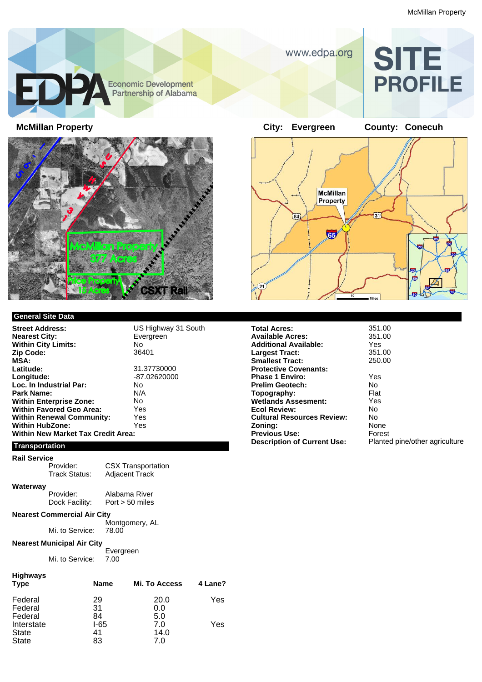

# **SITE PROFILE**



#### **General Site Data**

**Street Address:** US Highway 31 South<br> **Nearest City:** Evergreen **Nearest City: Within City Limits:** No **Zip Code: MSA: Latitude:** 31.37730000 **Longitude:** -87.02620000 **Loc. In Industrial Par:** No<br>**Park Name:** N/A **Park Name: Within Enterprise Zone:** No<br> **Within Favored Geo Area:** Yes **Within Favored Geo Area: Within Renewal Community:** Yes<br>
Within HubZone: Yes **Within HubZone: Within New Market Tax Credit Area:**

**Transportation**

### **Rail Service**

**Waterway**

Provider: CSX Transportation<br>Track Status: Adjacent Track

Provider: Alabama River<br>Dock Facility: Port > 50 miles

 $Port > 50$  miles

Adjacent Track

#### **Nearest Commercial Air City**

Montgomery, AL<br>78.00 Mi. to Service:

#### **Nearest Municipal Air City**

Evergreen Mi. to Service: 7.00

#### **Highways**

| -<br><b>Type</b> | <b>Name</b> | <b>Mi. To Access</b> | 4 Lane? |
|------------------|-------------|----------------------|---------|
| Federal          | 29          | 20.0                 | Yes     |
| Federal          | 31          | 0.0                  |         |
| Federal          | 84          | 5.0                  |         |
| Interstate       | I-65        | 7.0                  | Yes     |
| <b>State</b>     | 41          | 14.0                 |         |
| <b>State</b>     | 83          | 7.0                  |         |



| <b>Total Acres:</b>                | 351  |
|------------------------------------|------|
| <b>Available Acres:</b>            | 351  |
| <b>Additional Available:</b>       | Yes  |
| <b>Largest Tract:</b>              | 351  |
| <b>Smallest Tract:</b>             | 250  |
| <b>Protective Covenants:</b>       |      |
| <b>Phase 1 Enviro:</b>             | Yes  |
| <b>Prelim Geotech:</b>             | No.  |
| Topography:                        | Flat |
| <b>Wetlands Assesment:</b>         | Yes  |
| <b>Ecol Review:</b>                | No.  |
| <b>Cultural Resources Review:</b>  | No.  |
| Zoning:                            | Non  |
| <b>Previous Use:</b>               | Fore |
| <b>Description of Current Use:</b> | Plar |
|                                    |      |

**Total Acres:** 351.00 **Available Acres:** 351.00 **Additional Available:** Yes **Largest Tract:** 351.00 **Smallest Tract:** 250.00

Yes<br>No **Zoning:** None **Forest Planted pine/other agriculture**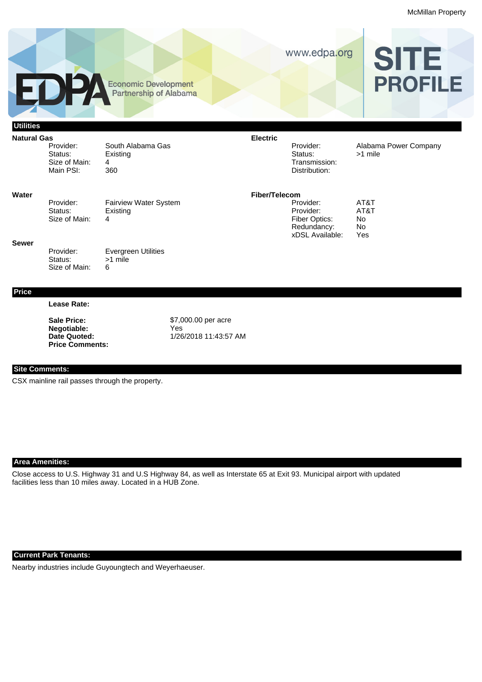McMillan Property



## **Area Amenities:**

**Site Comments:**

CSX mainline rail passes through the property.

Close access to U.S. Highway 31 and U.S Highway 84, as well as Interstate 65 at Exit 93. Municipal airport with updated facilities less than 10 miles away. Located in a HUB Zone.

#### **Current Park Tenants:**

Nearby industries include Guyoungtech and Weyerhaeuser.